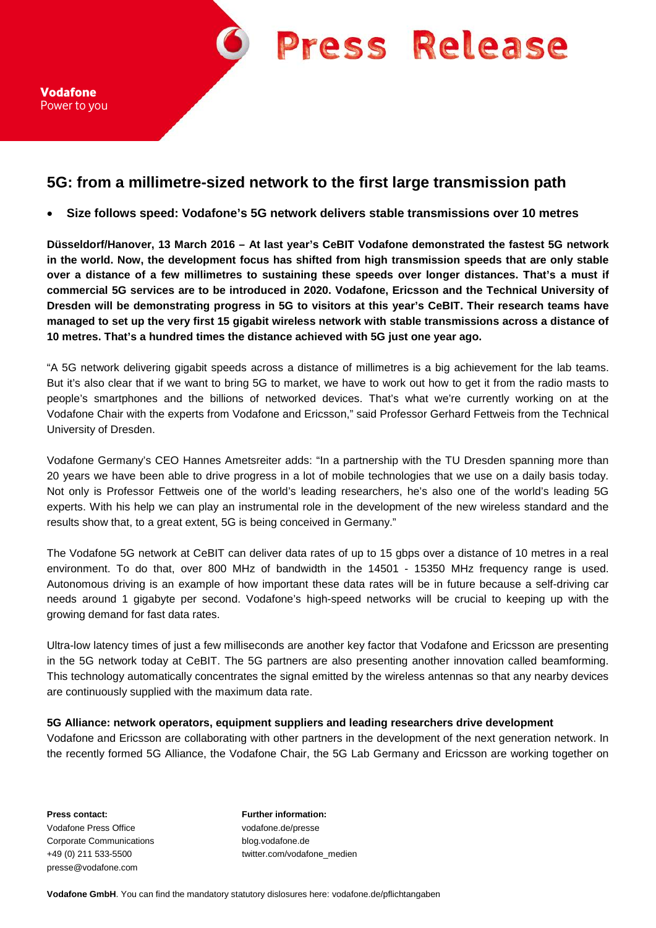**Press Release** 

Vodafone Power to you

## **5G: from a millimetre-sized network to the first large transmission path**

• **Size follows speed: Vodafone's 5G network delivers stable transmissions over 10 metres**

**Düsseldorf/Hanover, 13 March 2016 – At last year's CeBIT Vodafone demonstrated the fastest 5G network in the world. Now, the development focus has shifted from high transmission speeds that are only stable over a distance of a few millimetres to sustaining these speeds over longer distances. That's a must if commercial 5G services are to be introduced in 2020. Vodafone, Ericsson and the Technical University of Dresden will be demonstrating progress in 5G to visitors at this year's CeBIT. Their research teams have managed to set up the very first 15 gigabit wireless network with stable transmissions across a distance of 10 metres. That's a hundred times the distance achieved with 5G just one year ago.**

"A 5G network delivering gigabit speeds across a distance of millimetres is a big achievement for the lab teams. But it's also clear that if we want to bring 5G to market, we have to work out how to get it from the radio masts to people's smartphones and the billions of networked devices. That's what we're currently working on at the Vodafone Chair with the experts from Vodafone and Ericsson," said Professor Gerhard Fettweis from the Technical University of Dresden.

Vodafone Germany's CEO Hannes Ametsreiter adds: "In a partnership with the TU Dresden spanning more than 20 years we have been able to drive progress in a lot of mobile technologies that we use on a daily basis today. Not only is Professor Fettweis one of the world's leading researchers, he's also one of the world's leading 5G experts. With his help we can play an instrumental role in the development of the new wireless standard and the results show that, to a great extent, 5G is being conceived in Germany."

The Vodafone 5G network at CeBIT can deliver data rates of up to 15 gbps over a distance of 10 metres in a real environment. To do that, over 800 MHz of bandwidth in the 14501 - 15350 MHz frequency range is used. Autonomous driving is an example of how important these data rates will be in future because a self-driving car needs around 1 gigabyte per second. Vodafone's high-speed networks will be crucial to keeping up with the growing demand for fast data rates.

Ultra-low latency times of just a few milliseconds are another key factor that Vodafone and Ericsson are presenting in the 5G network today at CeBIT. The 5G partners are also presenting another innovation called beamforming. This technology automatically concentrates the signal emitted by the wireless antennas so that any nearby devices are continuously supplied with the maximum data rate.

## **5G Alliance: network operators, equipment suppliers and leading researchers drive development**

Vodafone and Ericsson are collaborating with other partners in the development of the next generation network. In the recently formed 5G Alliance, the Vodafone Chair, the 5G Lab Germany and Ericsson are working together on

**Press contact: Further information:** Vodafone Press Office vodafone.de/presse Corporate Communications blog.vodafone.de presse@vodafone.com

+49 (0) 211 533-5500 twitter.com/vodafone\_medien

**Vodafone GmbH**. You can find the mandatory statutory dislosures here: vodafone.de/pflichtangaben